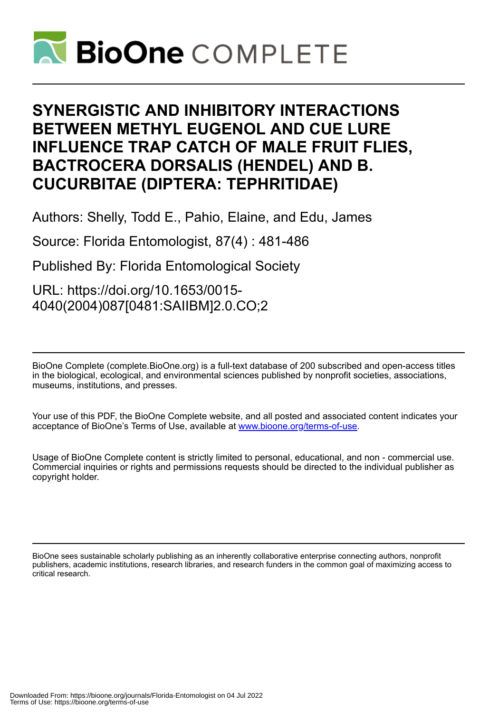

# **SYNERGISTIC AND INHIBITORY INTERACTIONS BETWEEN METHYL EUGENOL AND CUE LURE INFLUENCE TRAP CATCH OF MALE FRUIT FLIES, BACTROCERA DORSALIS (HENDEL) AND B. CUCURBITAE (DIPTERA: TEPHRITIDAE)**

Authors: Shelly, Todd E., Pahio, Elaine, and Edu, James

Source: Florida Entomologist, 87(4) : 481-486

Published By: Florida Entomological Society

URL: https://doi.org/10.1653/0015- 4040(2004)087[0481:SAIIBM]2.0.CO;2

BioOne Complete (complete.BioOne.org) is a full-text database of 200 subscribed and open-access titles in the biological, ecological, and environmental sciences published by nonprofit societies, associations, museums, institutions, and presses.

Your use of this PDF, the BioOne Complete website, and all posted and associated content indicates your acceptance of BioOne's Terms of Use, available at www.bioone.org/terms-of-use.

Usage of BioOne Complete content is strictly limited to personal, educational, and non - commercial use. Commercial inquiries or rights and permissions requests should be directed to the individual publisher as copyright holder.

BioOne sees sustainable scholarly publishing as an inherently collaborative enterprise connecting authors, nonprofit publishers, academic institutions, research libraries, and research funders in the common goal of maximizing access to critical research.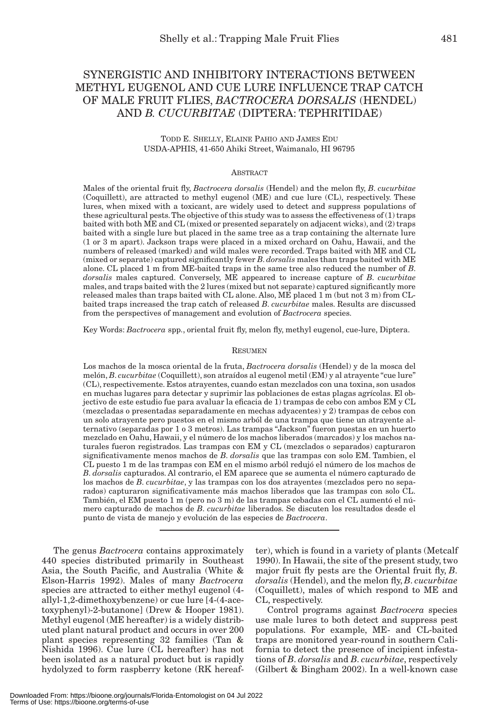# SYNERGISTIC AND INHIBITORY INTERACTIONS BETWEEN METHYL EUGENOL AND CUE LURE INFLUENCE TRAP CATCH OF MALE FRUIT FLIES, *BACTROCERA DORSALIS* (HENDEL) AND *B. CUCURBITAE* (DIPTERA: TEPHRITIDAE)

# TODD E. SHELLY, ELAINE PAHIO AND JAMES EDU USDA-APHIS, 41-650 Ahiki Street, Waimanalo, HI 96795

#### **ABSTRACT**

Males of the oriental fruit fly, *Bactrocera dorsalis* (Hendel) and the melon fly, *B*. *cucurbitae* (Coquillett), are attracted to methyl eugenol (ME) and cue lure (CL), respectively. These lures, when mixed with a toxicant, are widely used to detect and suppress populations of these agricultural pests. The objective of this study was to assess the effectiveness of (1) traps baited with both ME and CL (mixed or presented separately on adjacent wicks), and (2) traps baited with a single lure but placed in the same tree as a trap containing the alternate lure (1 or 3 m apart). Jackson traps were placed in a mixed orchard on Oahu, Hawaii, and the numbers of released (marked) and wild males were recorded. Traps baited with ME and CL (mixed or separate) captured significantly fewer *B*. *dorsalis* males than traps baited with ME alone. CL placed 1 m from ME-baited traps in the same tree also reduced the number of *B*. *dorsalis* males captured. Conversely, ME appeared to increase capture of *B*. *cucurbitae* males, and traps baited with the 2 lures (mixed but not separate) captured significantly more released males than traps baited with CL alone. Also, ME placed 1 m (but not 3 m) from CLbaited traps increased the trap catch of released *B*. *cucurbitae* males. Results are discussed from the perspectives of management and evolution of *Bactrocera* species.

Key Words: *Bactrocera* spp., oriental fruit fly, melon fly, methyl eugenol, cue-lure, Diptera.

#### RESUMEN

Los machos de la mosca oriental de la fruta, *Bactrocera dorsalis* (Hendel) y de la mosca del melón, *B*. *cucurbitae* (Coquillett), son atraídos al eugenol metil (EM) y al atrayente "cue lure" (CL), respectivemente. Estos atrayentes, cuando estan mezclados con una toxina, son usados en muchas lugares para detectar y suprimir las poblaciones de estas plagas agrícolas. El objectivo de este estudio fue para avaluar la eficacia de 1) trampas de cebo con ambos EM y CL (mezcladas o presentadas separadamente en mechas adyacentes) y 2) trampas de cebos con un solo atrayente pero puestos en el mismo arból de una trampa que tiene un atrayente alternativo (separadas por 1 o 3 metros). Las trampas "Jackson" fueron puestas en un huerto mezclado en Oahu, Hawaii, y el número de los machos liberados (marcados) y los machos naturales fueron registrados. Las trampas con EM y CL (mezclados o separados) capturaron significativamente menos machos de *B*. *dorsalis* que las trampas con solo EM. Tambien, el CL puesto 1 m de las trampas con EM en el mismo arból redujó el número de los machos de *B*. *dorsalis* capturados. Al contrario, el EM aparece que se aumenta el número capturado de los machos de *B*. *cucurbitae*, y las trampas con los dos atrayentes (mezclados pero no separados) capturaron significativamente más machos liberados que las trampas con solo CL. También, el EM puesto 1 m (pero no 3 m) de las trampas cebadas con el CL aumentó el número capturado de machos de *B*. *cucurbitae* liberados. Se discuten los resultados desde el punto de vista de manejo y evolución de las especies de *Bactrocera*.

The genus *Bactrocera* contains approximately 440 species distributed primarily in Southeast Asia, the South Pacific, and Australia (White & Elson-Harris 1992). Males of many *Bactrocera* species are attracted to either methyl eugenol (4 allyl-1,2-dimethoxybenzene) or cue lure [4-(4-acetoxyphenyl)-2-butanone] (Drew & Hooper 1981). Methyl eugenol (ME hereafter) is a widely distributed plant natural product and occurs in over 200 plant species representing 32 families (Tan & Nishida 1996). Cue lure (CL hereafter) has not been isolated as a natural product but is rapidly hydolyzed to form raspberry ketone (RK hereaf-

ter), which is found in a variety of plants (Metcalf 1990). In Hawaii, the site of the present study, two major fruit fly pests are the Oriental fruit fly, *B*. *dorsalis* (Hendel), and the melon fly, *B*. *cucurbitae* (Coquillett), males of which respond to ME and CL, respectively.

Control programs against *Bactrocera* species use male lures to both detect and suppress pest populations. For example, ME- and CL-baited traps are monitored year-round in southern California to detect the presence of incipient infestations of *B*. *dorsalis* and *B*. *cucurbitae*, respectively (Gilbert & Bingham 2002). In a well-known case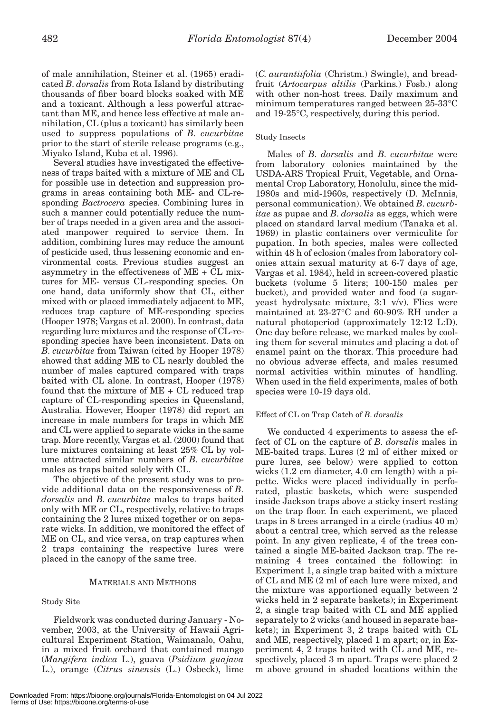of male annihilation, Steiner et al. (1965) eradicated *B*. *dorsalis* from Rota Island by distributing thousands of fiber board blocks soaked with ME and a toxicant. Although a less powerful attractant than ME, and hence less effective at male annihilation, CL (plus a toxicant) has similarly been used to suppress populations of *B*. *cucurbitae* prior to the start of sterile release programs (e.g., Miyako Island, Kuba et al. 1996).

Several studies have investigated the effectiveness of traps baited with a mixture of ME and CL for possible use in detection and suppression programs in areas containing both ME- and CL-responding *Bactrocera* species. Combining lures in such a manner could potentially reduce the number of traps needed in a given area and the associated manpower required to service them. In addition, combining lures may reduce the amount of pesticide used, thus lessening economic and environmental costs. Previous studies suggest an asymmetry in the effectiveness of ME + CL mixtures for ME- versus CL-responding species. On one hand, data uniformly show that CL, either mixed with or placed immediately adjacent to ME, reduces trap capture of ME-responding species (Hooper 1978; Vargas et al. 2000). In contrast, data regarding lure mixtures and the response of CL-responding species have been inconsistent. Data on *B*. *cucurbitae* from Taiwan (cited by Hooper 1978) showed that adding ME to CL nearly doubled the number of males captured compared with traps baited with CL alone. In contrast, Hooper (1978) found that the mixture of ME + CL reduced trap capture of CL-responding species in Queensland, Australia. However, Hooper (1978) did report an increase in male numbers for traps in which ME and CL were applied to separate wicks in the same trap. More recently, Vargas et al. (2000) found that lure mixtures containing at least 25% CL by volume attracted similar numbers of *B*. *cucurbitae* males as traps baited solely with CL.

The objective of the present study was to provide additional data on the responsiveness of *B*. *dorsalis* and *B*. *cucurbitae* males to traps baited only with ME or CL, respectively, relative to traps containing the 2 lures mixed together or on separate wicks. In addition, we monitored the effect of ME on CL, and vice versa, on trap captures when 2 traps containing the respective lures were placed in the canopy of the same tree.

# MATERIALS AND METHODS

# Study Site

Fieldwork was conducted during January - November, 2003, at the University of Hawaii Agricultural Experiment Station, Waimanalo, Oahu, in a mixed fruit orchard that contained mango (*Mangifera indica* L.), guava (*Psidium guajava* L.), orange (*Citrus sinensis* (L.) Osbeck), lime (*C. aurantiifolia* (Christm.) Swingle), and breadfruit (*Artocarpus altilis* (Parkins.) Fosb.) along with other non-host trees. Daily maximum and minimum temperatures ranged between 25-33°C and 19-25°C, respectively, during this period.

# Study Insects

Males of *B*. *dorsalis* and *B*. *cucurbitae* were from laboratory colonies maintained by the USDA-ARS Tropical Fruit, Vegetable, and Ornamental Crop Laboratory, Honolulu, since the mid-1980s and mid-1960s, respectively (D. McInnis, personal communication). We obtained *B*. *cucurbitae* as pupae and *B*. *dorsalis* as eggs, which were placed on standard larval medium (Tanaka et al. 1969) in plastic containers over vermiculite for pupation. In both species, males were collected within 48 h of eclosion (males from laboratory colonies attain sexual maturity at 6-7 days of age, Vargas et al. 1984), held in screen-covered plastic buckets (volume 5 liters; 100-150 males per bucket), and provided water and food (a sugaryeast hydrolysate mixture, 3:1 v/v). Flies were maintained at 23-27°C and 60-90% RH under a natural photoperiod (approximately 12:12 L:D). One day before release, we marked males by cooling them for several minutes and placing a dot of enamel paint on the thorax. This procedure had no obvious adverse effects, and males resumed normal activities within minutes of handling. When used in the field experiments, males of both species were 10-19 days old.

# Effect of CL on Trap Catch of *B*. *dorsalis*

We conducted 4 experiments to assess the effect of CL on the capture of *B*. *dorsalis* males in ME-baited traps. Lures (2 ml of either mixed or pure lures, see below) were applied to cotton wicks (1.2 cm diameter, 4.0 cm length) with a pipette. Wicks were placed individually in perforated, plastic baskets, which were suspended inside Jackson traps above a sticky insert resting on the trap floor. In each experiment, we placed traps in 8 trees arranged in a circle (radius 40 m) about a central tree, which served as the release point. In any given replicate, 4 of the trees contained a single ME-baited Jackson trap. The remaining 4 trees contained the following: in Experiment 1, a single trap baited with a mixture of CL and ME (2 ml of each lure were mixed, and the mixture was apportioned equally between 2 wicks held in 2 separate baskets); in Experiment 2, a single trap baited with CL and ME applied separately to 2 wicks (and housed in separate baskets); in Experiment 3, 2 traps baited with CL and ME, respectively, placed 1 m apart; or, in Experiment 4, 2 traps baited with CL and ME, respectively, placed 3 m apart. Traps were placed 2 m above ground in shaded locations within the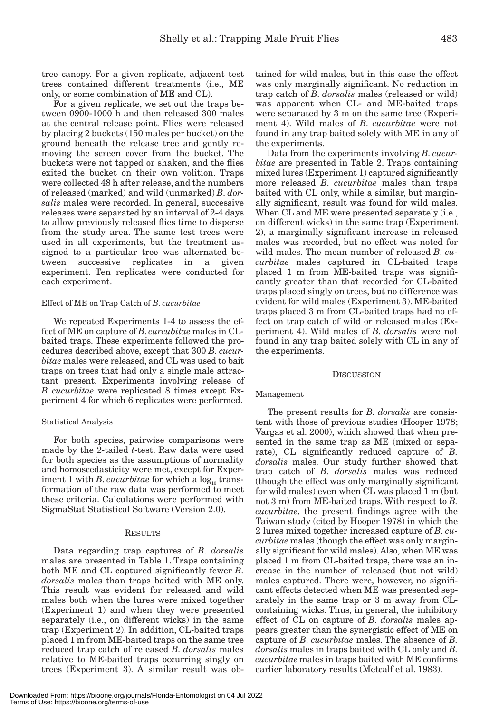tree canopy. For a given replicate, adjacent test trees contained different treatments (i.e., ME only, or some combination of ME and CL).

For a given replicate, we set out the traps between 0900-1000 h and then released 300 males at the central release point. Flies were released by placing 2 buckets (150 males per bucket) on the ground beneath the release tree and gently removing the screen cover from the bucket. The buckets were not tapped or shaken, and the flies exited the bucket on their own volition. Traps were collected 48 h after release, and the numbers of released (marked) and wild (unmarked) *B*. *dorsalis* males were recorded. In general, successive releases were separated by an interval of 2-4 days to allow previously released flies time to disperse from the study area. The same test trees were used in all experiments, but the treatment assigned to a particular tree was alternated between successive replicates in a given experiment. Ten replicates were conducted for each experiment.

#### Effect of ME on Trap Catch of *B*. *cucurbitae*

We repeated Experiments 1-4 to assess the effect of ME on capture of *B*. *curcubitae* males in CLbaited traps. These experiments followed the procedures described above, except that 300 *B*. *cucurbitae* males were released, and CL was used to bait traps on trees that had only a single male attractant present. Experiments involving release of *B. cucurbitae* were replicated 8 times except Experiment 4 for which 6 replicates were performed.

#### Statistical Analysis

For both species, pairwise comparisons were made by the 2-tailed *t*-test. Raw data were used for both species as the assumptions of normality and homoscedasticity were met, except for Experiment 1 with *B*. *cucurbitae* for which a  $\log_{10}$  transformation of the raw data was performed to meet these criteria. Calculations were performed with SigmaStat Statistical Software (Version 2.0).

#### RESULTS

Data regarding trap captures of *B*. *dorsalis* males are presented in Table 1. Traps containing both ME and CL captured significantly fewer *B*. *dorsalis* males than traps baited with ME only. This result was evident for released and wild males both when the lures were mixed together (Experiment 1) and when they were presented separately (i.e., on different wicks) in the same trap (Experiment 2). In addition, CL-baited traps placed 1 m from ME-baited traps on the same tree reduced trap catch of released *B*. *dorsalis* males relative to ME-baited traps occurring singly on trees (Experiment 3). A similar result was obtained for wild males, but in this case the effect was only marginally significant. No reduction in trap catch of *B*. *dorsalis* males (released or wild) was apparent when CL- and ME-baited traps were separated by 3 m on the same tree (Experiment 4). Wild males of *B*. *cucurbitae* were not found in any trap baited solely with ME in any of the experiments.

Data from the experiments involving *B*. *cucurbitae* are presented in Table 2. Traps containing mixed lures (Experiment 1) captured significantly more released *B*. *cucurbitae* males than traps baited with CL only, while a similar, but marginally significant, result was found for wild males. When CL and ME were presented separately (i.e., on different wicks) in the same trap (Experiment 2), a marginally significant increase in released males was recorded, but no effect was noted for wild males. The mean number of released *B*. *cucurbitae* males captured in CL-baited traps placed 1 m from ME-baited traps was significantly greater than that recorded for CL-baited traps placed singly on trees, but no difference was evident for wild males (Experiment 3). ME-baited traps placed 3 m from CL-baited traps had no effect on trap catch of wild or released males (Experiment 4). Wild males of *B*. *dorsalis* were not found in any trap baited solely with CL in any of the experiments.

#### **DISCUSSION**

#### Management

The present results for *B*. *dorsalis* are consistent with those of previous studies (Hooper 1978; Vargas et al. 2000), which showed that when presented in the same trap as ME (mixed or separate), CL significantly reduced capture of *B*. *dorsalis* males. Our study further showed that trap catch of *B*. *dorsalis* males was reduced (though the effect was only marginally significant for wild males) even when CL was placed 1 m (but not 3 m) from ME-baited traps. With respect to *B*. *cucurbitae*, the present findings agree with the Taiwan study (cited by Hooper 1978) in which the 2 lures mixed together increased capture of *B*. *cucurbitae* males (though the effect was only marginally significant for wild males). Also, when ME was placed 1 m from CL-baited traps, there was an increase in the number of released (but not wild) males captured. There were, however, no significant effects detected when ME was presented separately in the same trap or 3 m away from CLcontaining wicks. Thus, in general, the inhibitory effect of CL on capture of *B*. *dorsalis* males appears greater than the synergistic effect of ME on capture of *B*. *cucurbitae* males. The absence of *B*. *dorsalis* males in traps baited with CL only and *B*. *cucurbitae* males in traps baited with ME confirms earlier laboratory results (Metcalf et al. 1983).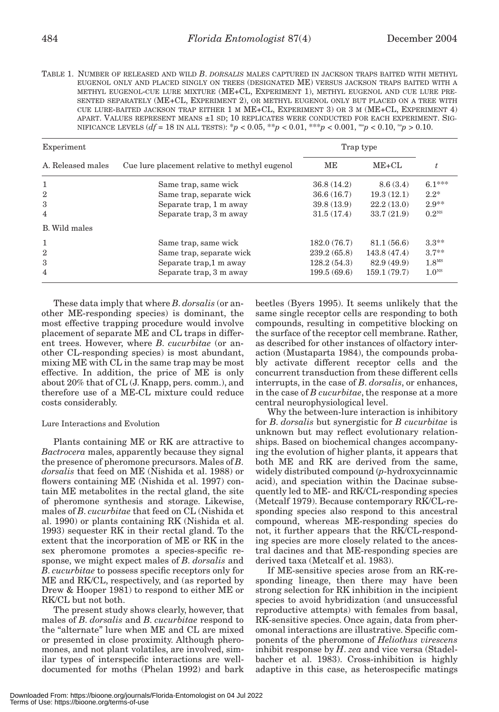TABLE 1. NUMBER OF RELEASED AND WILD *B*. *DORSALIS* MALES CAPTURED IN JACKSON TRAPS BAITED WITH METHYL EUGENOL ONLY AND PLACED SINGLY ON TREES (DESIGNATED ME) VERSUS JACKSON TRAPS BAITED WITH A METHYL EUGENOL-CUE LURE MIXTURE (ME+CL, EXPERIMENT 1), METHYL EUGENOL AND CUE LURE PRE-SENTED SEPARATELY (ME+CL, EXPERIMENT 2), OR METHYL EUGENOL ONLY BUT PLACED ON A TREE WITH CUE LURE-BAITED JACKSON TRAP EITHER 1 M ME+CL, EXPERIMENT 3) OR 3 M (ME+CL, EXPERIMENT 4) APART. VALUES REPRESENT MEANS ±1 SD; 10 REPLICATES WERE CONDUCTED FOR EACH EXPERIMENT. SIG-NIFICANCE LEVELS (*df* = 18 IN ALL TESTS): \**p* < 0.05, \*\**p* < 0.01, \*\*\**p* < 0.001, ms*p* < 0.10, ns*p* > 0.10.

| Experiment        |                                               | Trap type   |             |                   |
|-------------------|-----------------------------------------------|-------------|-------------|-------------------|
| A. Released males | Cue lure placement relative to methyl eugenol | ME          | $ME+CL$     |                   |
| 1                 | Same trap, same wick                          | 36.8(14.2)  | 8.6(3.4)    | $6.1***$          |
| $\overline{2}$    | Same trap, separate wick                      | 36.6(16.7)  | 19.3(12.1)  | $2.2*$            |
| 3                 | Separate trap, 1 m away                       | 39.8(13.9)  | 22.2(13.0)  | $2.9**$           |
| 4                 | Separate trap, 3 m away                       | 31.5(17.4)  | 33.7(21.9)  | $0.2^{NS}$        |
| B. Wild males     |                                               |             |             |                   |
| 1                 | Same trap, same wick                          | 182.0(76.7) | 81.1(56.6)  | $3.3**$           |
| $\overline{2}$    | Same trap, separate wick                      | 239.2(65.8) | 143.8(47.4) | $3.7**$           |
| 3                 | Separate trap, 1 m away                       | 128.2(54.3) | 82.9 (49.9) | 1.8 <sup>MS</sup> |
| 4                 | Separate trap, 3 m away                       | 199.5(69.6) | 159.1(79.7) | 1.0 <sup>NS</sup> |

These data imply that where *B*. *dorsalis* (or another ME-responding species) is dominant, the most effective trapping procedure would involve placement of separate ME and CL traps in different trees. However, where *B*. *cucurbitae* (or another CL-responding species) is most abundant, mixing ME with CL in the same trap may be most effective. In addition, the price of ME is only about 20% that of CL (J. Knapp, pers. comm.), and therefore use of a ME-CL mixture could reduce costs considerably.

# Lure Interactions and Evolution

Plants containing ME or RK are attractive to *Bactrocera* males, apparently because they signal the presence of pheromone precursors. Males of *B*. *dorsalis* that feed on ME (Nishida et al. 1988) or flowers containing ME (Nishida et al. 1997) contain ME metabolites in the rectal gland, the site of pheromone synthesis and storage. Likewise, males of *B*. *cucurbitae* that feed on CL (Nishida et al. 1990) or plants containing RK (Nishida et al. 1993) sequester RK in their rectal gland. To the extent that the incorporation of ME or RK in the sex pheromone promotes a species-specific response, we might expect males of *B*. *dorsalis* and *B*. *cucurbitae* to possess specific receptors only for ME and RK/CL, respectively, and (as reported by Drew & Hooper 1981) to respond to either ME or RK/CL but not both.

The present study shows clearly, however, that males of *B*. *dorsalis* and *B*. *cucurbitae* respond to the "alternate" lure when ME and CL are mixed or presented in close proximity. Although pheromones, and not plant volatiles, are involved, similar types of interspecific interactions are welldocumented for moths (Phelan 1992) and bark

beetles (Byers 1995). It seems unlikely that the same single receptor cells are responding to both compounds, resulting in competitive blocking on the surface of the receptor cell membrane. Rather, as described for other instances of olfactory interaction (Mustaparta 1984), the compounds probably activate different receptor cells and the concurrent transduction from these different cells interrupts, in the case of *B*. *dorsalis*, or enhances, in the case of *B cucurbitae*, the response at a more central neurophysiological level.

Why the between-lure interaction is inhibitory for *B*. *dorsalis* but synergistic for *B cucurbitae* is unknown but may reflect evolutionary relationships. Based on biochemical changes accompanying the evolution of higher plants, it appears that both ME and RK are derived from the same, widely distributed compound (*p*-hydroxycinnamic acid), and speciation within the Dacinae subsequently led to ME- and RK/CL-responding species (Metcalf 1979). Because contemporary RK/CL-responding species also respond to this ancestral compound, whereas ME-responding species do not, it further appears that the RK/CL-responding species are more closely related to the ancestral dacines and that ME-responding species are derived taxa (Metcalf et al. 1983).

If ME-sensitive species arose from an RK-responding lineage, then there may have been strong selection for RK inhibition in the incipient species to avoid hybridization (and unsuccessful reproductive attempts) with females from basal, RK-sensitive species. Once again, data from pheromonal interactions are illustrative. Specific components of the pheromone of *Heliothus virescens* inhibit response by *H*. *zea* and vice versa (Stadelbacher et al. 1983). Cross-inhibition is highly adaptive in this case, as heterospecific matings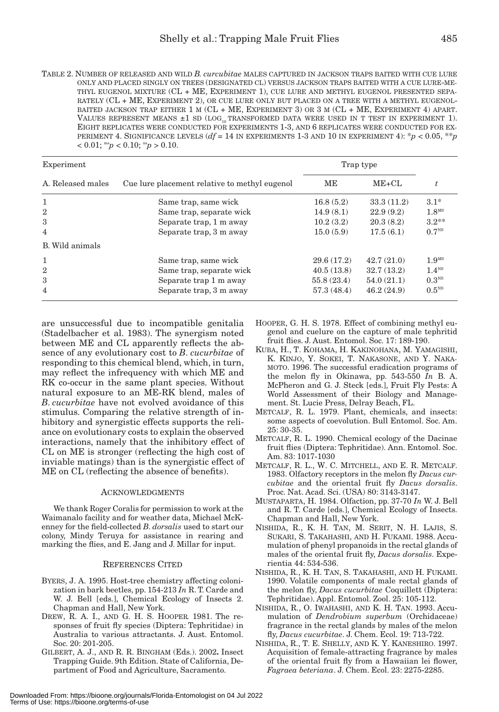| TABLE 2. NUMBER OF RELEASED AND WILD <i>B. curcubitae</i> MALES CAPTURED IN JACKSON TRAPS BAITED WITH CUE LURE |
|----------------------------------------------------------------------------------------------------------------|
| ONLY AND PLACED SINGLY ON TREES (DESIGNATED CL) VERSUS JACKSON TRAPS BAITED WITH A CUE LURE-ME-                |
| THYL EUGENOL MIXTURE (CL + ME, EXPERIMENT 1), CUE LURE AND METHYL EUGENOL PRESENTED SEPA-                      |
| RATELY (CL + ME, EXPERIMENT 2), OR CUE LURE ONLY BUT PLACED ON A TREE WITH A METHYL EUGENOL-                   |
| BAITED JACKSON TRAP EITHER 1 M (CL + ME, EXPERIMENT 3) OR 3 M (CL + ME, EXPERIMENT 4) APART.                   |
| VALUES REPRESENT MEANS $\pm 1$ SD (LOG <sub>10</sub> TRANSFORMED DATA WERE USED IN T TEST IN EXPERIMENT 1).    |
| EIGHT REPLICATES WERE CONDUCTED FOR EXPERIMENTS 1-3, AND 6 REPLICATES WERE CONDUCTED FOR EX-                   |
| PERIMENT 4. SIGNIFICANCE LEVELS $(df = 14$ IN EXPERIMENTS 1-3 AND 10 IN EXPERIMENT 4): $p < 0.05$ , $* p$      |
| $< 0.01$ ; ms <sub>p</sub> $< 0.10$ ; ns <sub>p</sub> $> 0.10$ .                                               |

| Experiment        |                                               | Trap type  |            |                   |
|-------------------|-----------------------------------------------|------------|------------|-------------------|
| A. Released males | Cue lure placement relative to methyl eugenol | MЕ         | $ME+CL$    |                   |
| 1                 | Same trap, same wick                          | 16.8(5.2)  | 33.3(11.2) | $3.1*$            |
| $\overline{2}$    | Same trap, separate wick                      | 14.9(8.1)  | 22.9(9.2)  | 1.8 <sup>MS</sup> |
| 3                 | Separate trap, 1 m away                       | 10.2(3.2)  | 20.3(8.2)  | $3.2**$           |
| 4                 | Separate trap, 3 m away                       | 15.0(5.9)  | 17.5(6.1)  | 0.7 <sup>NS</sup> |
| B. Wild animals   |                                               |            |            |                   |
| 1                 | Same trap, same wick                          | 29.6(17.2) | 42.7(21.0) | 1.9 <sup>MS</sup> |
| $\overline{2}$    | Same trap, separate wick                      | 40.5(13.8) | 32.7(13.2) | 1.4 <sup>NS</sup> |
| 3                 | Separate trap 1 m away                        | 55.8(23.4) | 54.0(21.1) | 0.3 <sup>NS</sup> |
| 4                 | Separate trap, 3 m away                       | 57.3(48.4) | 46.2(24.9) | 0.5 <sup>NS</sup> |

are unsuccessful due to incompatible genitalia (Stadelbacher et al. 1983). The synergism noted between ME and CL apparently reflects the absence of any evolutionary cost to *B*. *cucurbitae* of responding to this chemical blend, which, in turn, may reflect the infrequency with which ME and RK co-occur in the same plant species. Without natural exposure to an ME-RK blend, males of *B*. *cucurbitae* have not evolved avoidance of this stimulus. Comparing the relative strength of inhibitory and synergistic effects supports the reliance on evolutionary costs to explain the observed interactions, namely that the inhibitory effect of CL on ME is stronger (reflecting the high cost of inviable matings) than is the synergistic effect of ME on CL (reflecting the absence of benefits).

# ACKNOWLEDGMENTS

We thank Roger Coralis for permission to work at the Waimanalo facility and for weather data, Michael McKenney for the field-collected *B*. *dorsalis* used to start our colony, Mindy Teruya for assistance in rearing and marking the flies, and E. Jang and J. Millar for input.

# REFERENCES CITED

- BYERS, J. A. 1995. Host-tree chemistry affecting colonization in bark beetles, pp. 154-213 *In* R. T. Carde and W. J. Bell [eds.], Chemical Ecology of Insects 2. Chapman and Hall, New York.
- DREW, R. A. I., AND G. H. S. HOOPER. 1981. The responses of fruit fly species (Diptera: Tephritidae) in Australia to various attractants. J. Aust. Entomol. Soc. 20: 201-205.
- GILBERT, A. J., AND R. R. BINGHAM (Eds.). 2002**.** Insect Trapping Guide. 9th Edition. State of California, Department of Food and Agriculture, Sacramento.
- HOOPER, G. H. S. 1978. Effect of combining methyl eugenol and cuelure on the capture of male tephritid fruit flies. J. Aust. Entomol. Soc. 17: 189-190.
- KUBA, H., T. KOHAMA, H. KAKINOHANA, M. YAMAGISHI, K. KINJO, Y. SOKEI, T. NAKASONE, AND Y. NAKA-MOTO. 1996. The successful eradication programs of the melon fly in Okinawa, pp. 543-550 *In* B. A. McPheron and G. J. Steck [eds.], Fruit Fly Pests: A World Assessment of their Biology and Management. St. Lucie Press, Delray Beach, FL.
- METCALF, R. L. 1979. Plant, chemicals, and insects: some aspects of coevolution. Bull Entomol. Soc. Am. 25: 30-35.
- METCALF, R. L. 1990. Chemical ecology of the Dacinae fruit flies (Diptera: Tephritidae). Ann. Entomol. Soc. Am. 83: 1017-1030
- METCALF, R. L., W. C. MITCHELL, AND E. R. METCALF. 1983. Olfactory receptors in the melon fly *Dacus curcubitae* and the oriental fruit fly *Dacus dorsalis*. Proc. Nat. Acad. Sci. (USA) 80: 3143-3147.
- MUSTAPARTA, H. 1984. Olfaction, pp. 37-70 *In* W. J. Bell and R. T. Carde [eds.], Chemical Ecology of Insects. Chapman and Hall, New York.
- NISHIDA, R., K. H. TAN, M. SERIT, N. H. LAJIS, S. SUKARI, S. TAKAHASHI, AND H. FUKAMI. 1988. Accumulation of phenyl propanoids in the rectal glands of males of the oriental fruit fly, *Dacus dorsalis*. Experientia 44: 534-536.
- NISHIDA, R., K. H. TAN, S. TAKAHASHI, AND H. FUKAMI. 1990. Volatile components of male rectal glands of the melon fly, *Dacus cucurbitae* Coquillett (Diptera: Tephritidae). Appl. Entomol. Zool. 25: 105-112.
- NISHIDA, R., O. IWAHASHI, AND K. H. TAN. 1993. Accumulation of *Dendrobium superbum* (Orchidaceae) fragrance in the rectal glands by males of the melon fly, *Dacus cucurbitae*. J. Chem. Ecol. 19: 713-722.
- NISHIDA, R., T. E. SHELLY, AND K. Y. KANESHIRO. 1997. Acquisition of female-attracting fragrance by males of the oriental fruit fly from a Hawaiian lei flower, *Fagraea beteriana*. J. Chem. Ecol. 23: 2275-2285.